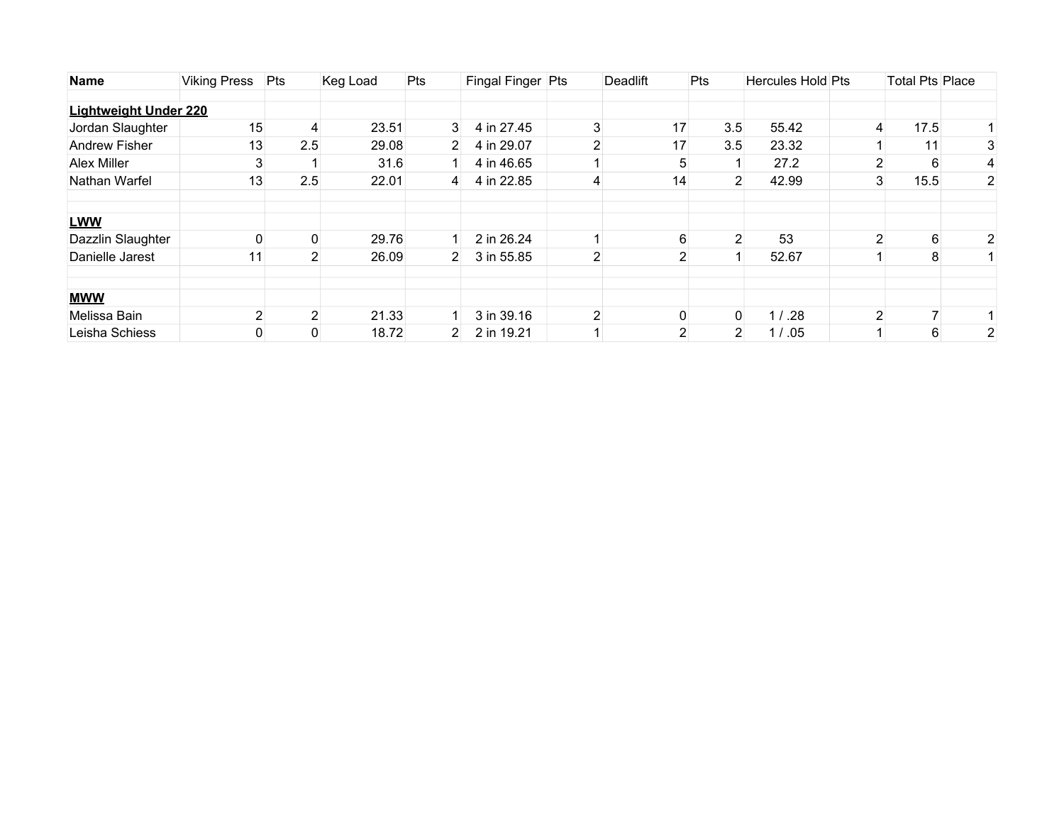| <b>Name</b>                  | <b>Viking Press</b> | Pts            | Keg Load | Pts            | Fingal Finger Pts |                | Deadlift       | Pts            | <b>Hercules Hold Pts</b> |               | <b>Total Pts Place</b> |                |
|------------------------------|---------------------|----------------|----------|----------------|-------------------|----------------|----------------|----------------|--------------------------|---------------|------------------------|----------------|
|                              |                     |                |          |                |                   |                |                |                |                          |               |                        |                |
| <b>Lightweight Under 220</b> |                     |                |          |                |                   |                |                |                |                          |               |                        |                |
| Jordan Slaughter             | 15                  | 4              | 23.51    | 3 <sup>1</sup> | 4 in 27.45        | 3              | 17             | 3.5            | 55.42                    | 4             | 17.5                   |                |
| <b>Andrew Fisher</b>         | 13                  | 2.5            | 29.08    | $2^{\circ}$    | 4 in 29.07        | $\mathbf{2}$   | 17             | 3.5            | 23.32                    |               | 11 <sub>1</sub>        | 3              |
| <b>Alex Miller</b>           |                     |                | 31.6     |                | 4 in 46.65        |                | 5              |                | 27.2                     |               | 6                      |                |
| Nathan Warfel                | 13                  | 2.5            | 22.01    | $\vert$ 4      | 4 in 22.85        | 4              | 14             | $\overline{2}$ | 42.99                    | 3             | 15.5                   | $\overline{2}$ |
| <b>LWW</b>                   |                     |                |          |                |                   |                |                |                |                          |               |                        |                |
| Dazzlin Slaughter            |                     |                | 29.76    |                | 2 in 26.24        |                | 6              | $\overline{2}$ | 53                       | 2             | 6                      |                |
| Danielle Jarest              | 11                  | 2              | 26.09    | $2^{\circ}$    | 3 in 55.85        | 2              | $\overline{2}$ |                | 52.67                    |               | 8                      |                |
| <b>MWW</b>                   |                     |                |          |                |                   |                |                |                |                          |               |                        |                |
| Melissa Bain                 |                     | 2 <sub>1</sub> | 21.33    |                | 3 in 39.16        | $\overline{2}$ |                | $\overline{0}$ | 1 / .28                  | $\mathcal{P}$ |                        |                |
| Leisha Schiess               |                     |                | 18.72    | $2^{\vert}$    | 2 in 19.21        |                | $\overline{2}$ | $\overline{2}$ | 1 / .05                  |               | 6                      | 2              |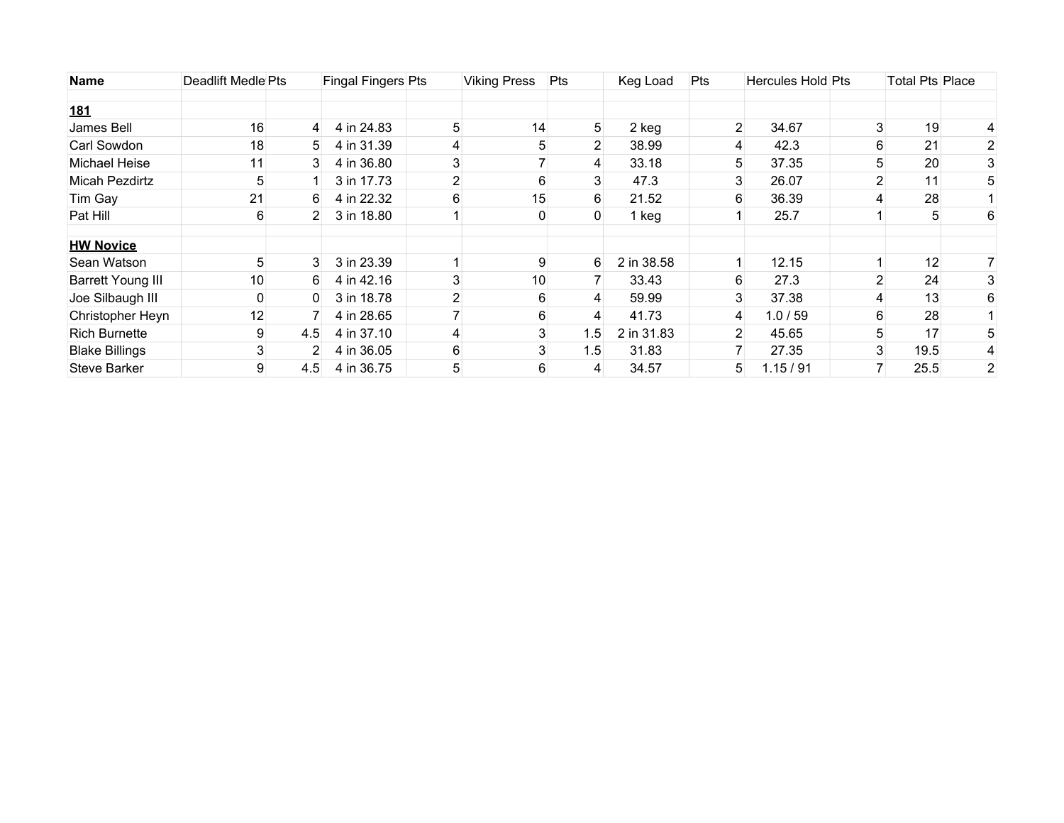| <b>Name</b>              | Deadlift Medle Pts |                | Fingal Fingers Pts |                | <b>Viking Press</b> | <b>Pts</b>     | Keg Load   | Pts            | <b>Hercules Hold Pts</b> |   | Total Pts Place |                |
|--------------------------|--------------------|----------------|--------------------|----------------|---------------------|----------------|------------|----------------|--------------------------|---|-----------------|----------------|
| <u>181</u>               |                    |                |                    |                |                     |                |            |                |                          |   |                 |                |
| James Bell               | 16                 | 4              | 4 in 24.83         | 5              | 14                  | 5              | 2 keg      | $\overline{2}$ | 34.67                    |   | 19              |                |
| Carl Sowdon              | 18                 | 5.             | 4 in 31.39         | 4              | 5                   | $\overline{2}$ | 38.99      | 4              | 42.3                     |   | 21              |                |
| Michael Heise            | 11                 | 3              | 4 in 36.80         | 3              |                     | 4              | 33.18      | 5              | 37.35                    |   | 20              |                |
| Micah Pezdirtz           | 5                  |                | 3 in 17.73         | 2              | 6                   | 3              | 47.3       | 3              | 26.07                    |   | 11              |                |
| Tim Gay                  | 21                 | 6              | 4 in 22.32         | 6              | 15                  | 6              | 21.52      | 6              | 36.39                    |   | 28              |                |
| Pat Hill                 | 6                  | $2^{\circ}$    | 3 in 18.80         |                | 0                   | 0              | 1 keg      |                | 25.7                     |   | 5               | 6              |
| <b>HW Novice</b>         |                    |                |                    |                |                     |                |            |                |                          |   |                 |                |
| Sean Watson              | 5                  | 3              | 3 in 23.39         |                | 9                   | 6              | 2 in 38.58 |                | 12.15                    |   | 12              |                |
| <b>Barrett Young III</b> | 10                 | 6              | 4 in 42.16         | 3              | 10 <sub>1</sub>     |                | 33.43      | 6              | 27.3                     |   | 24              |                |
| Joe Silbaugh III         |                    | 0              | 3 in 18.78         | $\overline{2}$ | 6                   | $\overline{4}$ | 59.99      | 3              | 37.38                    |   | 13              | 6              |
| Christopher Heyn         | 12                 |                | 4 in 28.65         |                | 6                   | 4              | 41.73      | 4              | 1.0 / 59                 |   | 28              |                |
| <b>Rich Burnette</b>     | 9                  | 4.5            | 4 in 37.10         | 4              | 3                   | 1.5            | 2 in 31.83 | $\overline{2}$ | 45.65                    |   | 17              |                |
| <b>Blake Billings</b>    | 3                  | $\overline{2}$ | 4 in 36.05         | 6              | $\mathbf{3}$        | 1.5            | 31.83      |                | 27.35                    | 3 | 19.5            |                |
| <b>Steve Barker</b>      | 9                  | 4.5            | 4 in 36.75         | 5              | 6                   | 4              | 34.57      | 5              | 1.15/91                  |   | 25.5            | $\overline{2}$ |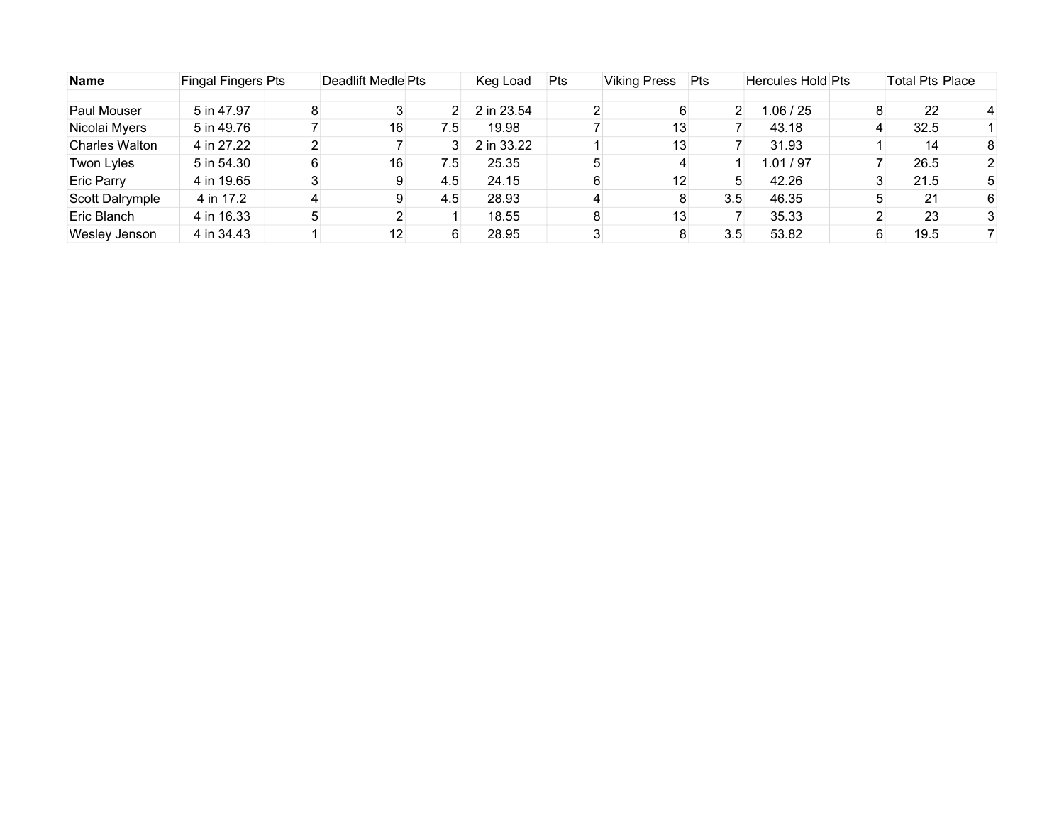| <b>Name</b>           | Fingal Fingers Pts |   | Deadlift Medle Pts |     | Keg Load   | Pts | <b>Viking Press</b> | Pts | <b>Hercules Hold Pts</b> | <b>Total Pts Place</b> |   |
|-----------------------|--------------------|---|--------------------|-----|------------|-----|---------------------|-----|--------------------------|------------------------|---|
|                       |                    |   |                    |     |            |     |                     |     |                          |                        |   |
| Paul Mouser           | 5 in 47.97         | 8 |                    |     | 2 in 23.54 |     |                     | 2   | 1.06 / 25                | 22                     |   |
| Nicolai Myers         | 5 in 49.76         |   | 16                 | 7.5 | 19.98      |     | 13                  |     | 43.18                    | 32.5                   |   |
| <b>Charles Walton</b> | 4 in 27.22         |   |                    |     | 2 in 33.22 |     | 13                  |     | 31.93                    | 14                     | 8 |
| Twon Lyles            | 5 in 54.30         | 6 | 16                 | 7.5 | 25.35      |     |                     |     | 1.01 / 97                | 26.5                   |   |
| <b>Eric Parry</b>     | 4 in 19.65         |   | 9                  | 4.5 | 24.15      | 6   | 12                  | :C  | 42.26                    | 21.5                   |   |
| Scott Dalrymple       | 4 in 17.2          |   | 9                  | 4.5 | 28.93      |     |                     | 3.5 | 46.35                    | 21                     | 6 |
| Eric Blanch           | 4 in 16.33         |   |                    |     | 18.55      | 8   | 13                  |     | 35.33                    | 23                     |   |
| Wesley Jenson         | 4 in 34.43         |   | 12                 |     | 28.95      |     |                     | 3.5 | 53.82                    | 19.5                   |   |